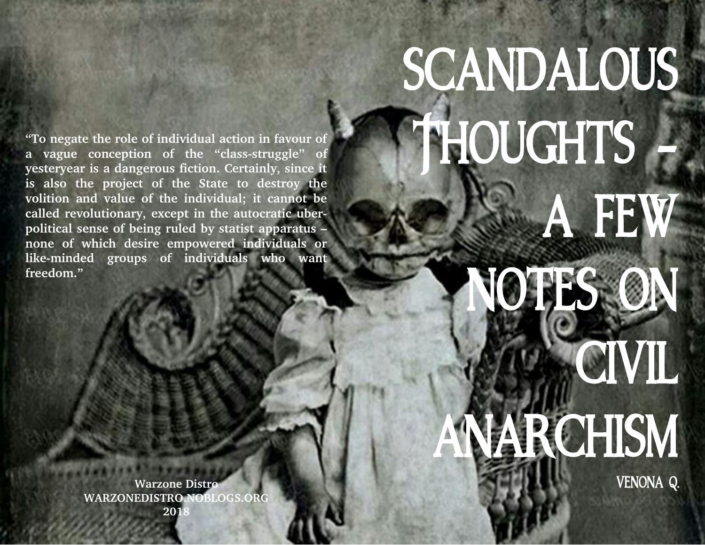## SCANDALOUS THOUGHTS A FEW

## **YOTES ON CIVIL** ARCHISM

VENONA Q.

.

**"To negate the role of individual action in favour of a** vague conception of the "class-struggle" of **yesteryear is a dangerous fiction. Certainly, since it is also the project of the State to destroy the volition and value of the individual; it cannot be called revolutionary, except in the autocratic uberpolitical sense of being ruled by statist apparatus – none of which desire empowered individuals or likeminded groups of individuals who want freedom."**

> **Warzone Distro WARZONEDISTRO.NOBLOGS.ORG 2018**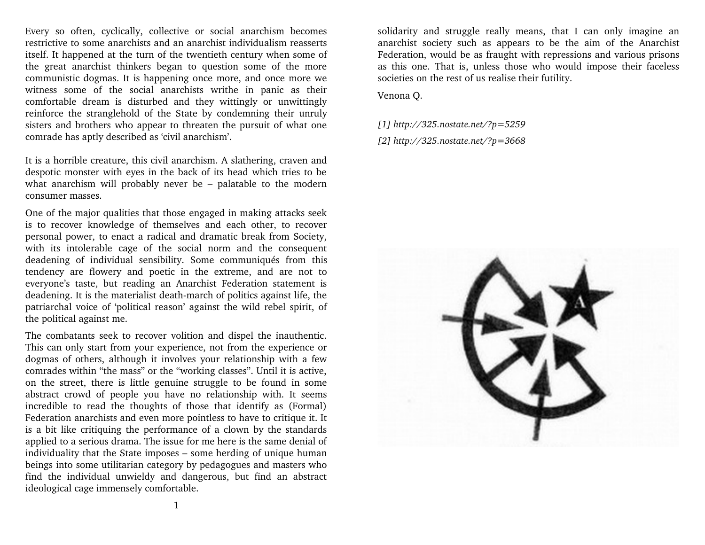Every so often, cyclically, collective or social anarchism becomes restrictive to some anarchists and an anarchist individualism reasserts itself. It happened at the turn of the twentieth century when some of the great anarchist thinkers began to question some of the more communistic dogmas. It is happening once more, and once more we witness some of the social anarchists writhe in panic as their comfortable dream is disturbed and they wittingly or unwittingly reinforce the stranglehold of the State by condemning their unruly sisters and brothers who appear to threaten the pursuit of what one comrade has aptly described as 'civil anarchism'.

It is a horrible creature, this civil anarchism. A slathering, craven and despotic monster with eyes in the back of its head which tries to be what anarchism will probably never be – palatable to the modern consumer masses.

One of the major qualities that those engaged in making attacks seek is to recover knowledge of themselves and each other, to recover personal power, to enact a radical and dramatic break from Society, with its intolerable cage of the social norm and the consequent deadening of individual sensibility. Some communiqués from this tendency are flowery and poetic in the extreme, and are not to everyone's taste, but reading an Anarchist Federation statement is deadening. It is the materialist death-march of politics against life, the patriarchal voice of 'political reason' against the wild rebel spirit, of the political against me.

The combatants seek to recover volition and dispel the inauthentic. This can only start from your experience, not from the experience or dogmas of others, although it involves your relationship with a few comrades within "the mass" or the "working classes". Until it is active, on the street, there is little genuine struggle to be found in some abstract crowd of people you have no relationship with. It seems incredible to read the thoughts of those that identify as (Formal) Federation anarchists and even more pointless to have to critique it. It is a bit like critiquing the performance of a clown by the standards applied to a serious drama. The issue for me here is the same denial of individuality that the State imposes – some herding of unique human beings into some utilitarian category by pedagogues and masters who find the individual unwieldy and dangerous, but find an abstract ideological cage immensely comfortable.

solidarity and struggle really means, that I can only imagine an anarchist society such as appears to be the aim of the Anarchist Federation, would be as fraught with repressions and various prisons as this one. That is, unless those who would impose their faceless societies on the rest of us realise their futility.

Venona Q.

*[1] http://325.nostate.net/?p=5259 [2] http://325.nostate.net/?p=3668* 

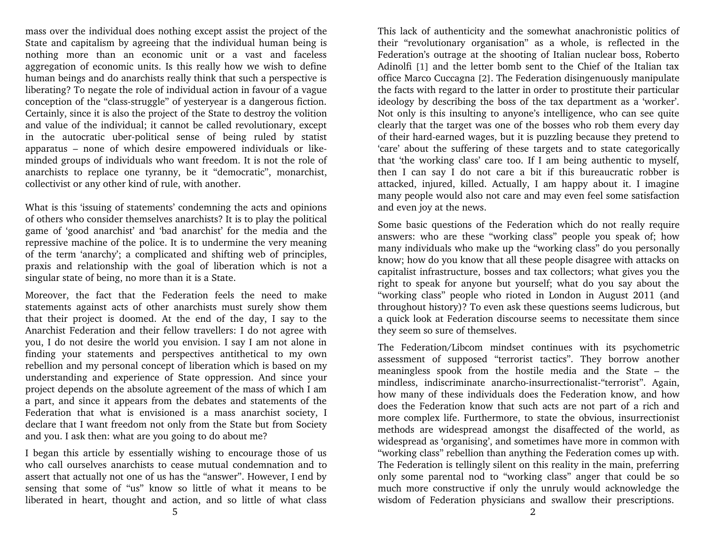mass over the individual does nothing except assist the project of the State and capitalism by agreeing that the individual human being is nothing more than an economic unit or a vast and faceless aggregation of economic units. Is this really how we wish to define human beings and do anarchists really think that such a perspective is liberating? To negate the role of individual action in favour of a vague conception of the "class-struggle" of yesteryear is a dangerous fiction. Certainly, since it is also the project of the State to destroy the volition and value of the individual; it cannot be called revolutionary, except in the autocratic uber-political sense of being ruled by statist apparatus - none of which desire empowered individuals or likeminded groups of individuals who want freedom. It is not the role of anarchists to replace one tyranny, be it "democratic", monarchist, collectivist or any other kind of rule, with another.

What is this 'issuing of statements' condemning the acts and opinions of others who consider themselves anarchists? It is to play the political game of 'good anarchist' and 'bad anarchist' for the media and the repressive machine of the police. It is to undermine the very meaning of the term 'anarchy'; a complicated and shifting web of principles, praxis and relationship with the goal of liberation which is not a singular state of being, no more than it is a State.

Moreover, the fact that the Federation feels the need to make statements against acts of other anarchists must surely show them that their project is doomed. At the end of the day, I say to the Anarchist Federation and their fellow travellers: I do not agree with you, I do not desire the world you envision. I say I am not alone in finding your statements and perspectives antithetical to my own rebellion and my personal concept of liberation which is based on my understanding and experience of State oppression. And since your project depends on the absolute agreement of the mass of which I am a part, and since it appears from the debates and statements of the Federation that what is envisioned is a mass anarchist society, I declare that I want freedom not only from the State but from Society and you. I ask then: what are you going to do about me?

I began this article by essentially wishing to encourage those of us who call ourselves anarchists to cease mutual condemnation and to assert that actually not one of us has the "answer". However, I end by sensing that some of "us" know so little of what it means to be liberated in heart, thought and action, and so little of what class This lack of authenticity and the somewhat anachronistic politics of their "revolutionary organisation" as a whole, is reflected in the Federation's outrage at the shooting of Italian nuclear boss, Roberto Adinolfi [1] and the letter bomb sent to the Chief of the Italian tax office Marco Cuccagna [2]. The Federation disingenuously manipulate the facts with regard to the latter in order to prostitute their particular ideology by describing the boss of the tax department as a 'worker'. Not only is this insulting to anyone's intelligence, who can see quite clearly that the target was one of the bosses who rob them every day of their hard-earned wages, but it is puzzling because they pretend to 'care' about the suffering of these targets and to state categorically that 'the working class' care too. If I am being authentic to myself, then I can say I do not care a bit if this bureaucratic robber is attacked, injured, killed. Actually, I am happy about it. I imagine many people would also not care and may even feel some satisfaction and even joy at the news.

Some basic questions of the Federation which do not really require answers: who are these "working class" people you speak of; how many individuals who make up the "working class" do you personally know; how do you know that all these people disagree with attacks on capitalist infrastructure, bosses and tax collectors; what gives you the right to speak for anyone but yourself; what do you say about the "working class" people who rioted in London in August 2011 (and throughout history)? To even ask these questions seems ludicrous, but a quick look at Federation discourse seems to necessitate them since they seem so sure of themselves.

The Federation/Libcom mindset continues with its psychometric assessment of supposed "terrorist tactics". They borrow another meaningless spook from the hostile media and the State – the mindless, indiscriminate anarcho-insurrectionalist-"terrorist". Again, how many of these individuals does the Federation know, and how does the Federation know that such acts are not part of a rich and more complex life. Furthermore, to state the obvious, insurrectionist methods are widespread amongst the disaffected of the world, as widespread as 'organising', and sometimes have more in common with "working class" rebellion than anything the Federation comes up with. The Federation is tellingly silent on this reality in the main, preferring only some parental nod to "working class" anger that could be so much more constructive if only the unruly would acknowledge the wisdom of Federation physicians and swallow their prescriptions.